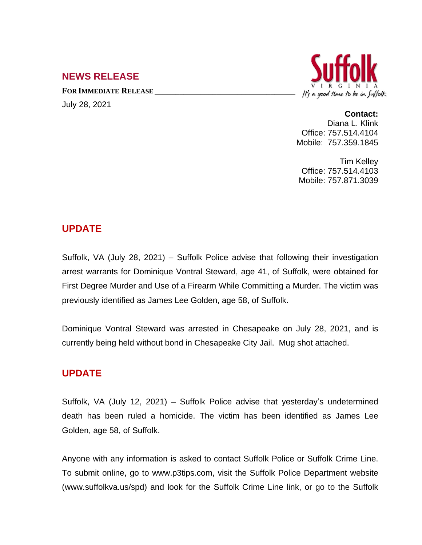# **NEWS RELEASE**

**FOR IMMEDIATE RELEASE \_\_\_\_\_\_\_\_\_\_\_\_\_\_\_\_\_\_\_\_\_\_\_\_\_\_\_\_\_\_\_\_\_\_** July 28, 2021



#### **Contact:**

Diana L. Klink Office: 757.514.4104 Mobile: 757.359.1845

Tim Kelley Office: 757.514.4103 Mobile: 757.871.3039

## **UPDATE**

Suffolk, VA (July 28, 2021) – Suffolk Police advise that following their investigation arrest warrants for Dominique Vontral Steward, age 41, of Suffolk, were obtained for First Degree Murder and Use of a Firearm While Committing a Murder. The victim was previously identified as James Lee Golden, age 58, of Suffolk.

Dominique Vontral Steward was arrested in Chesapeake on July 28, 2021, and is currently being held without bond in Chesapeake City Jail. Mug shot attached.

## **UPDATE**

Suffolk, VA (July 12, 2021) – Suffolk Police advise that yesterday's undetermined death has been ruled a homicide. The victim has been identified as James Lee Golden, age 58, of Suffolk.

Anyone with any information is asked to contact Suffolk Police or Suffolk Crime Line. To submit online, go to www.p3tips.com, visit the Suffolk Police Department website (www.suffolkva.us/spd) and look for the Suffolk Crime Line link, or go to the Suffolk